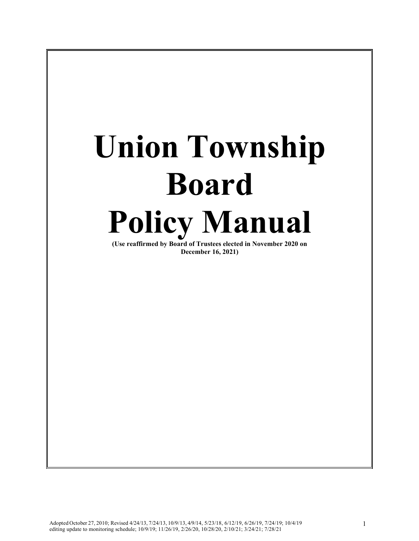# **Union Township Board Policy Manual**

**(Use reaffirmed by Board of Trustees elected in November 2020 on December 16, 2021)**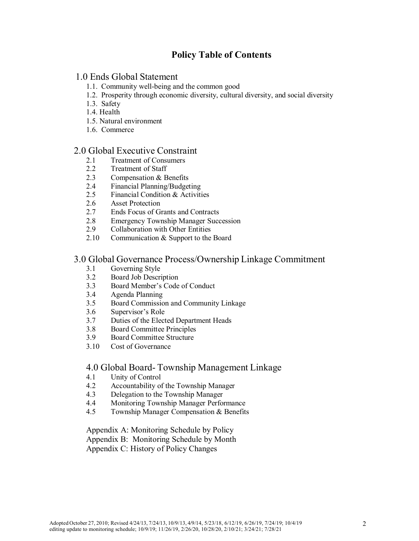# **Policy Table of Contents**

# 1.0 Ends Global Statement

- 1.1. Community well-being and the common good
- 1.2. Prosperity through economic diversity, cultural diversity, and social diversity
- 1.3. Safety
- 1.4. Health
- 1.5. Natural environment
- 1.6. Commerce

#### 2.0 Global Executive Constraint

- 2.1 Treatment of Consumers
- 2.2 Treatment of Staff
- 2.3 Compensation & Benefits
- 2.4 Financial Planning/Budgeting<br>2.5 Financial Condition & Activiti
- Financial Condition & Activities
- 2.6 Asset Protection
- 2.7 Ends Focus of Grants and Contracts
- 2.8 Emergency Township Manager Succession<br>2.9 Collaboration with Other Entities
- 2.9 Collaboration with Other Entities
- 2.10 Communication & Support to the Board

#### 3.0 Global Governance Process/Ownership Linkage Commitment

- 3.1 Governing Style
- 3.2 Board Job Description
- 3.3 Board Member's Code of Conduct
- 3.4 Agenda Planning
- 3.5 Board Commission and Community Linkage<br>3.6 Supervisor's Role
- Supervisor's Role
- 3.7 Duties of the Elected Department Heads
- 3.8 Board Committee Principles
- 3.9 Board Committee Structure
- 3.10 Cost of Governance

## 4.0 Global Board- Township Management Linkage

- 4.1 Unity of Control
- 4.2 Accountability of the Township Manager<br>4.3 Delegation to the Township Manager
- Delegation to the Township Manager
- 4.4 Monitoring Township Manager Performance
- 4.5 Township Manager Compensation & Benefits

Appendix A: Monitoring Schedule by Policy Appendix B: Monitoring Schedule by Month Appendix C: History of Policy Changes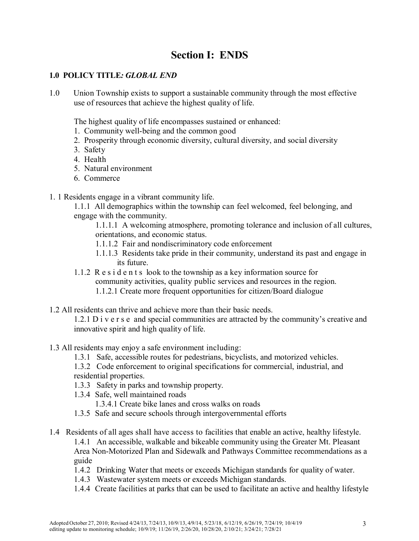# **Section I: ENDS**

# **1.0 POLICY TITLE***: GLOBAL END*

1.0 Union Township exists to support a sustainable community through the most effective use of resources that achieve the highest quality of life.

The highest quality of life encompasses sustained or enhanced:

- 1. Community well-being and the common good
- 2. Prosperity through economic diversity, cultural diversity, and social diversity
- 3. Safety
- 4. Health
- 5. Natural environment
- 6. Commerce
- 1. 1 Residents engage in a vibrant community life.

1.1.1 All demographics within the township can feel welcomed, feel belonging, and engage with the community.

1.1.1.1 A welcoming atmosphere, promoting tolerance and inclusion of all cultures, orientations, and economic status.

- 1.1.1.2 Fair and nondiscriminatory code enforcement
- 1.1.1.3 Residents take pride in their community, understand its past and engage in its future.
- 1.1.2 Residents look to the township as a key information source for community activities, quality public services and resources in the region. 1.1.2.1 Create more frequent opportunities for citizen/Board dialogue
- 1.2 All residents can thrive and achieve more than their basic needs.

1.2.1 Diverse and special communities are attracted by the community's creative and innovative spirit and high quality of life.

- 1.3 All residents may enjoy a safe environment including:
	- 1.3.1 Safe, accessible routes for pedestrians, bicyclists, and motorized vehicles.
	- 1.3.2 Code enforcement to original specifications for commercial, industrial, and residential properties.
	- 1.3.3 Safety in parks and township property.
	- 1.3.4 Safe, well maintained roads
		- 1.3.4.1 Create bike lanes and cross walks on roads
	- 1.3.5 Safe and secure schools through intergovernmental efforts
- 1.4 Residents of all ages shall have access to facilities that enable an active, healthy lifestyle. 1.4.1 An accessible, walkable and bikeable community using the Greater Mt. Pleasant Area Non-Motorized Plan and Sidewalk and Pathways Committee recommendations as a guide
	- 1.4.2 Drinking Water that meets or exceeds Michigan standards for quality of water.
	- 1.4.3 Wastewater system meets or exceeds Michigan standards.
	- 1.4.4 Create facilities at parks that can be used to facilitate an active and healthy lifestyle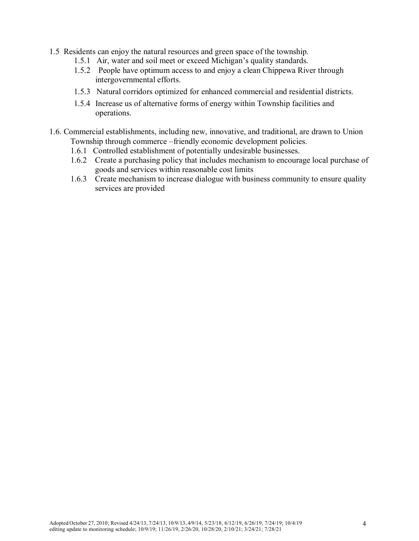- 1.5 Residents can enjoy the natural resources and green space of the township.
	- 1.5.1 Air, water and soil meet or exceed Michigan's quality standards.
	- 1.5.2 People have optimum access to and enjoy a clean Chippewa River through intergovernmental efforts.
	- 1.5.3 Natural corridors optimized for enhanced commercial and residential districts.
	- 1.5.4 Increase us of alternative forms of energy within Township facilities and operations.
- 1.6. Commercial establishments, including new, innovative, and traditional, are drawn to Union Township through commerce –friendly economic development policies.
	- 1.6.1 Controlled establishment of potentially undesirable businesses.
	- 1.6.2 Create a purchasing policy that includes mechanism to encourage local purchase of goods and services within reasonable cost limits
	- 1.6.3 Create mechanism to increase dialogue with business community to ensure quality services are provided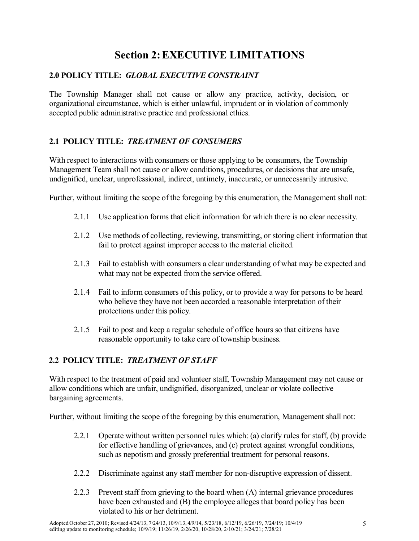# **Section 2:EXECUTIVE LIMITATIONS**

# **2.0 POLICY TITLE:** *GLOBAL EXECUTIVE CONSTRAINT*

The Township Manager shall not cause or allow any practice, activity, decision, or organizational circumstance, which is either unlawful, imprudent or in violation of commonly accepted public administrative practice and professional ethics.

# **2.1 POLICY TITLE:** *TREATMENT OF CONSUMERS*

With respect to interactions with consumers or those applying to be consumers, the Township Management Team shall not cause or allow conditions, procedures, or decisions that are unsafe, undignified, unclear, unprofessional, indirect, untimely, inaccurate, or unnecessarily intrusive.

Further, without limiting the scope of the foregoing by this enumeration, the Management shall not:

- 2.1.1 Use application forms that elicit information for which there is no clear necessity.
- 2.1.2 Use methods of collecting, reviewing, transmitting, or storing client information that fail to protect against improper access to the material elicited.
- 2.1.3 Fail to establish with consumers a clear understanding of what may be expected and what may not be expected from the service offered.
- 2.1.4 Fail to inform consumers of this policy, or to provide a way for persons to be heard who believe they have not been accorded a reasonable interpretation of their protections under this policy.
- 2.1.5 Fail to post and keep a regular schedule of office hours so that citizens have reasonable opportunity to take care of township business.

# **2.2 POLICY TITLE:** *TREATMENT OF STAFF*

With respect to the treatment of paid and volunteer staff, Township Management may not cause or allow conditions which are unfair, undignified, disorganized, unclear or violate collective bargaining agreements.

Further, without limiting the scope of the foregoing by this enumeration, Management shall not:

- 2.2.1 Operate without written personnel rules which: (a) clarify rules for staff, (b) provide for effective handling of grievances, and (c) protect against wrongful conditions, such as nepotism and grossly preferential treatment for personal reasons.
- 2.2.2 Discriminate against any staff member for non-disruptive expression of dissent.
- 2.2.3 Prevent staff from grieving to the board when (A) internal grievance procedures have been exhausted and (B) the employee alleges that board policy has been violated to his or her detriment.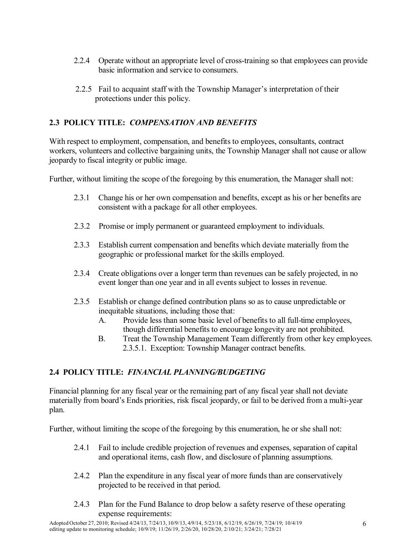- 2.2.4 Operate without an appropriate level of cross-training so that employees can provide basic information and service to consumers.
- 2.2.5 Fail to acquaint staff with the Township Manager's interpretation of their protections under this policy.

# **2.3 POLICY TITLE:** *COMPENSATION AND BENEFITS*

With respect to employment, compensation, and benefits to employees, consultants, contract workers, volunteers and collective bargaining units, the Township Manager shall not cause or allow jeopardy to fiscal integrity or public image.

Further, without limiting the scope of the foregoing by this enumeration, the Manager shall not:

- 2.3.1 Change his or her own compensation and benefits, except as his or her benefits are consistent with a package for all other employees.
- 2.3.2 Promise or imply permanent or guaranteed employment to individuals.
- 2.3.3 Establish current compensation and benefits which deviate materially from the geographic or professional market for the skills employed.
- 2.3.4 Create obligations over a longer term than revenues can be safely projected, in no event longer than one year and in all events subject to losses in revenue.
- 2.3.5 Establish or change defined contribution plans so as to cause unpredictable or inequitable situations, including those that:
	- A. Provide less than some basic level of benefits to all full-time employees, though differential benefits to encourage longevity are not prohibited.
	- B. Treat the Township Management Team differently from other key employees. 2.3.5.1. Exception: Township Manager contract benefits.

# **2.4 POLICY TITLE:** *FINANCIAL PLANNING/BUDGETING*

Financial planning for any fiscal year or the remaining part of any fiscal year shall not deviate materially from board's Ends priorities, risk fiscal jeopardy, or fail to be derived from a multi-year plan.

Further, without limiting the scope of the foregoing by this enumeration, he or she shall not:

- 2.4.1 Fail to include credible projection of revenues and expenses, separation of capital and operational items, cash flow, and disclosure of planning assumptions.
- 2.4.2 Plan the expenditure in any fiscal year of more funds than are conservatively projected to be received in that period.
- 2.4.3 Plan for the Fund Balance to drop below a safety reserve of these operating expense requirements: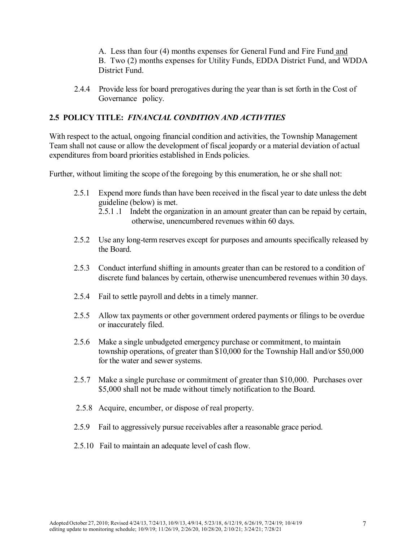A. Less than four (4) months expenses for General Fund and Fire Fund and B. Two (2) months expenses for Utility Funds, EDDA District Fund, and WDDA District Fund.

2.4.4 Provide less for board prerogatives during the year than is set forth in the Cost of Governance policy.

#### **2.5 POLICY TITLE:** *FINANCIAL CONDITION AND ACTIVITIES*

With respect to the actual, ongoing financial condition and activities, the Township Management Team shall not cause or allow the development of fiscal jeopardy or a material deviation of actual expenditures from board priorities established in Ends policies.

Further, without limiting the scope of the foregoing by this enumeration, he or she shall not:

- 2.5.1 Expend more funds than have been received in the fiscal year to date unless the debt guideline (below) is met.
	- 2.5.1 .1 Indebt the organization in an amount greater than can be repaid by certain, otherwise, unencumbered revenues within 60 days.
- 2.5.2 Use any long-term reserves except for purposes and amounts specifically released by the Board.
- 2.5.3 Conduct interfund shifting in amounts greater than can be restored to a condition of discrete fund balances by certain, otherwise unencumbered revenues within 30 days.
- 2.5.4 Fail to settle payroll and debts in a timely manner.
- 2.5.5 Allow tax payments or other government ordered payments or filings to be overdue or inaccurately filed.
- 2.5.6 Make a single unbudgeted emergency purchase or commitment, to maintain township operations, of greater than \$10,000 for the Township Hall and/or \$50,000 for the water and sewer systems.
- 2.5.7 Make a single purchase or commitment of greater than \$10,000. Purchases over \$5,000 shall not be made without timely notification to the Board.
- 2.5.8 Acquire, encumber, or dispose of real property.
- 2.5.9 Fail to aggressively pursue receivables after a reasonable grace period.
- 2.5.10 Fail to maintain an adequate level of cash flow.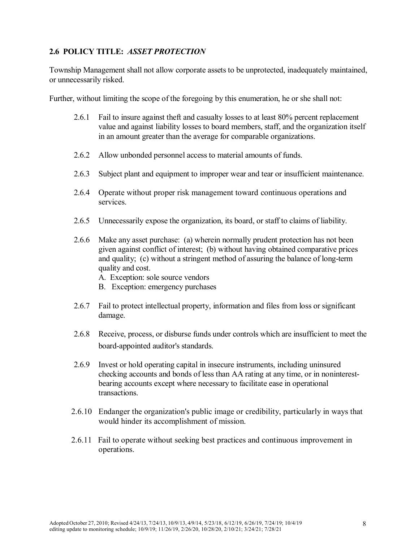# **2.6 POLICY TITLE:** *ASSET PROTECTION*

Township Management shall not allow corporate assets to be unprotected, inadequately maintained, or unnecessarily risked.

Further, without limiting the scope of the foregoing by this enumeration, he or she shall not:

- 2.6.1 Fail to insure against theft and casualty losses to at least 80% percent replacement value and against liability losses to board members, staff, and the organization itself in an amount greater than the average for comparable organizations.
- 2.6.2 Allow unbonded personnel access to material amounts of funds.
- 2.6.3 Subject plant and equipment to improper wear and tear or insufficient maintenance.
- 2.6.4 Operate without proper risk management toward continuous operations and services.
- 2.6.5 Unnecessarily expose the organization, its board, or staff to claims of liability.
- 2.6.6 Make any asset purchase: (a) wherein normally prudent protection has not been given against conflict of interest; (b) without having obtained comparative prices and quality; (c) without a stringent method of assuring the balance of long-term quality and cost.
	- A. Exception: sole source vendors
	- B. Exception: emergency purchases
- 2.6.7 Fail to protect intellectual property, information and files from loss or significant damage.
- 2.6.8 Receive, process, or disburse funds under controls which are insufficient to meet the board-appointed auditor's standards.
- 2.6.9 Invest or hold operating capital in insecure instruments, including uninsured checking accounts and bonds of less than AA rating at any time, or in noninterestbearing accounts except where necessary to facilitate ease in operational transactions.
- 2.6.10 Endanger the organization's public image or credibility, particularly in ways that would hinder its accomplishment of mission.
- 2.6.11 Fail to operate without seeking best practices and continuous improvement in operations.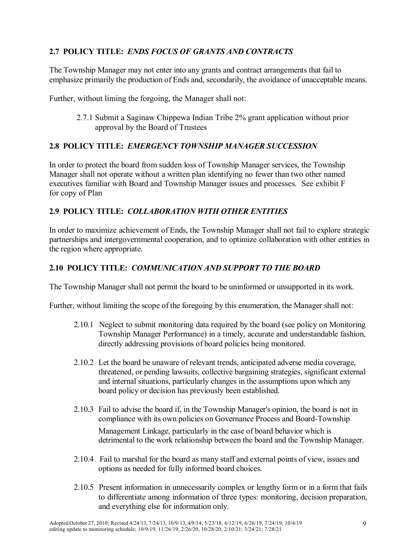# **2.7 POLICY TITLE:** *ENDS FOCUS OF GRANTS AND CONTRACTS*

The Township Manager may not enter into any grants and contract arrangements that fail to emphasize primarily the production of Ends and, secondarily, the avoidance of unacceptable means.

Further, without liming the forgoing, the Manager shall not:

2.7.1 Submit a Saginaw Chippewa Indian Tribe 2% grant application without prior approval by the Board of Trustees

## **2.8 POLICY TITLE:** *EMERGENCY TOWNSHIP MANAGER SUCCESSION*

In order to protect the board from sudden loss of Township Manager services, the Township Manager shall not operate without a written plan identifying no fewer than two other named executives familiar with Board and Township Manager issues and processes. See exhibit F for copy of Plan

# **2.9 POLICY TITLE:** *COLLABORATION WITH OTHER ENTITIES*

In order to maximize achievement of Ends, the Township Manager shall not fail to explore strategic partnerships and intergovernmental cooperation, and to optimize collaboration with other entities in the region where appropriate.

# **2.10 POLICY TITLE:** *COMMUNICATION AND SUPPORT TO THE BOARD*

The Township Manager shall not permit the board to be uninformed or unsupported in its work.

Further, without limiting the scope of the foregoing by this enumeration, the Manager shall not:

- 2.10.1 Neglect to submit monitoring data required by the board (see policy on Monitoring Township Manager Performance) in a timely, accurate and understandable fashion, directly addressing provisions of board policies being monitored.
- 2.10.2 Let the board be unaware of relevant trends, anticipated adverse media coverage, threatened, or pending lawsuits, collective bargaining strategies, significant external and internal situations, particularly changes in the assumptions upon which any board policy or decision has previously been established.
- 2.10.3 Fail to advise the board if, in the Township Manager's opinion, the board is not in compliance with its own policies on Governance Process and Board-Township Management Linkage, particularly in the case of board behavior which is detrimental to the work relationship between the board and the Township Manager.
- 2.10.4 Fail to marshal for the board as many staff and external points of view, issues and options as needed for fully informed board choices.
- 2.10.5 Present information in unnecessarily complex or lengthy form or in a form that fails to differentiate among information of three types: monitoring, decision preparation, and everything else for information only.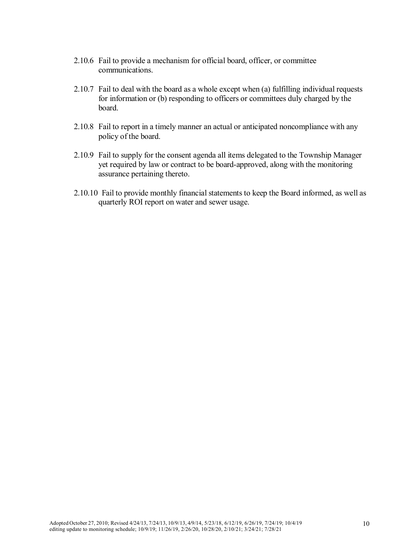- 2.10.6 Fail to provide a mechanism for official board, officer, or committee communications.
- 2.10.7 Fail to deal with the board as a whole except when (a) fulfilling individual requests for information or (b) responding to officers or committees duly charged by the board.
- 2.10.8 Fail to report in a timely manner an actual or anticipated noncompliance with any policy of the board.
- 2.10.9 Fail to supply for the consent agenda all items delegated to the Township Manager yet required by law or contract to be board-approved, along with the monitoring assurance pertaining thereto.
- 2.10.10 Fail to provide monthly financial statements to keep the Board informed, as well as quarterly ROI report on water and sewer usage.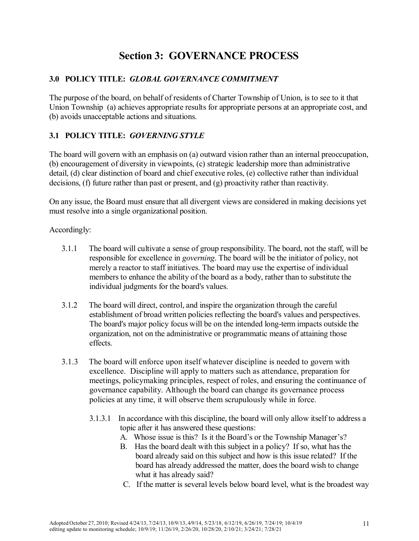# **Section 3: GOVERNANCE PROCESS**

# **3.0 POLICY TITLE:** *GLOBAL GOVERNANCE COMMITMENT*

The purpose of the board, on behalf of residents of Charter Township of Union, is to see to it that Union Township (a) achieves appropriate results for appropriate persons at an appropriate cost, and (b) avoids unacceptable actions and situations.

# **3.1 POLICY TITLE:** *GOVERNING STYLE*

The board will govern with an emphasis on (a) outward vision rather than an internal preoccupation, (b) encouragement of diversity in viewpoints, (c) strategic leadership more than administrative detail, (d) clear distinction of board and chief executive roles, (e) collective rather than individual decisions, (f) future rather than past or present, and (g) proactivity rather than reactivity.

On any issue, the Board must ensure that all divergent views are considered in making decisions yet must resolve into a single organizational position.

#### Accordingly:

- 3.1.1 The board will cultivate a sense of group responsibility. The board, not the staff, will be responsible for excellence in *governing*. The board will be the initiator of policy, not merely a reactor to staff initiatives. The board may use the expertise of individual members to enhance the ability of the board as a body, rather than to substitute the individual judgments for the board's values.
- 3.1.2 The board will direct, control, and inspire the organization through the careful establishment of broad written policies reflecting the board's values and perspectives. The board's major policy focus will be on the intended long-term impacts outside the organization, not on the administrative or programmatic means of attaining those effects.
- 3.1.3 The board will enforce upon itself whatever discipline is needed to govern with excellence. Discipline will apply to matters such as attendance, preparation for meetings, policymaking principles, respect of roles, and ensuring the continuance of governance capability. Although the board can change its governance process policies at any time, it will observe them scrupulously while in force.
	- 3.1.3.1 In accordance with this discipline, the board will only allow itself to address a topic after it has answered these questions:
		- A. Whose issue is this? Is it the Board's or the Township Manager's?
		- B. Has the board dealt with this subject in a policy? If so, what has the board already said on this subject and how is this issue related? If the board has already addressed the matter, does the board wish to change what it has already said?
		- C. If the matter is several levels below board level, what is the broadest way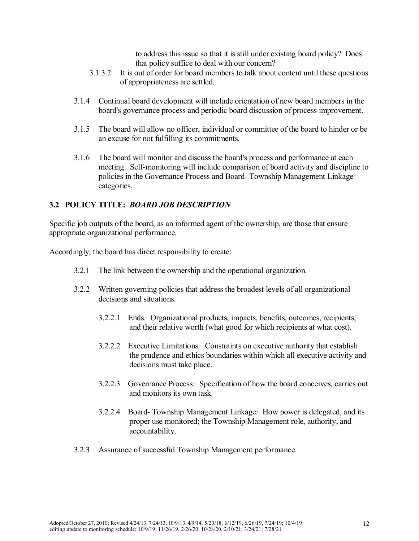to address this issue so that it is still under existing board policy? Does that policy suffice to deal with our concern?

- 3.1.3.2 It is out of order for board members to talk about content until these questions of appropriateness are settled.
- 3.1.4 Continual board development will include orientation of new board members in the board's governance process and periodic board discussion of process improvement.
- 3.1.5 The board will allow no officer, individual or committee of the board to hinder or be an excuse for not fulfilling its commitments.
- 3.1.6 The board will monitor and discuss the board's process and performance at each meeting. Self-monitoring will include comparison of board activity and discipline to policies in the Governance Process and Board- Township Management Linkage categories.

# **3.2 POLICY TITLE:** *BOARD JOB DESCRIPTION*

Specific job outputs of the board, as an informed agent of the ownership, are those that ensure appropriate organizational performance.

Accordingly, the board has direct responsibility to create:

- 3.2.1 The link between the ownership and the operational organization.
- 3.2.2 Written governing policies that address the broadest levels of all organizational decisions and situations.
	- 3.2.2.1 Ends*:* Organizational products, impacts, benefits, outcomes, recipients, and their relative worth (what good for which recipients at what cost).
	- 3.2.2.2 Executive Limitations*:* Constraints on executive authority that establish the prudence and ethics boundaries within which all executive activity and decisions must take place.
	- 3.2.2.3 Governance Process*:* Specification of how the board conceives, carries out and monitors its own task.
	- 3.2.2.4 Board- Township Management Linkage*:* How power is delegated, and its proper use monitored; the Township Management role, authority, and accountability.
- 3.2.3 Assurance of successful Township Management performance.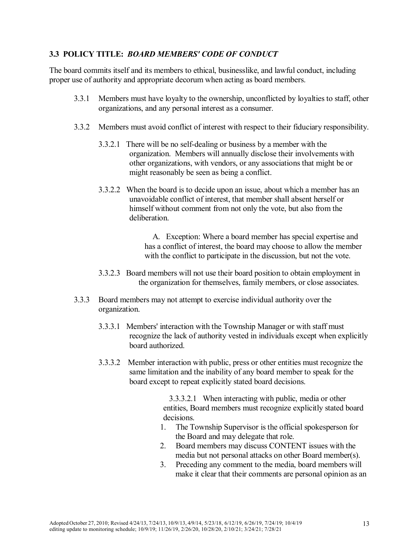# **3.3 POLICY TITLE:** *BOARD MEMBERS' CODE OF CONDUCT*

The board commits itself and its members to ethical, businesslike, and lawful conduct, including proper use of authority and appropriate decorum when acting as board members.

- 3.3.1 Members must have loyalty to the ownership, unconflicted by loyalties to staff, other organizations, and any personal interest as a consumer.
- 3.3.2 Members must avoid conflict of interest with respect to their fiduciary responsibility.
	- 3.3.2.1 There will be no self-dealing or business by a member with the organization. Members will annually disclose their involvements with other organizations, with vendors, or any associations that might be or might reasonably be seen as being a conflict.
	- 3.3.2.2 When the board is to decide upon an issue, about which a member has an unavoidable conflict of interest, that member shall absent herself or himself without comment from not only the vote, but also from the deliberation.

A. Exception: Where a board member has special expertise and has a conflict of interest, the board may choose to allow the member with the conflict to participate in the discussion, but not the vote.

- 3.3.2.3 Board members will not use their board position to obtain employment in the organization for themselves, family members, or close associates.
- 3.3.3 Board members may not attempt to exercise individual authority over the organization.
	- 3.3.3.1 Members' interaction with the Township Manager or with staff must recognize the lack of authority vested in individuals except when explicitly board authorized.
	- 3.3.3.2 Member interaction with public, press or other entities must recognize the same limitation and the inability of any board member to speak for the board except to repeat explicitly stated board decisions.

3.3.3.2.1 When interacting with public, media or other entities, Board members must recognize explicitly stated board decisions.

- 1. The Township Supervisor is the official spokesperson for the Board and may delegate that role.
- 2. Board members may discuss CONTENT issues with the media but not personal attacks on other Board member(s).
- 3. Preceding any comment to the media, board members will make it clear that their comments are personal opinion as an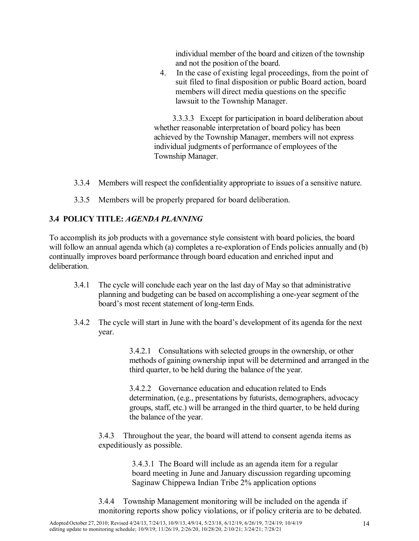individual member of the board and citizen of the township and not the position of the board.

4. In the case of existing legal proceedings, from the point of suit filed to final disposition or public Board action, board members will direct media questions on the specific lawsuit to the Township Manager.

3.3.3.3 Except for participation in board deliberation about whether reasonable interpretation of board policy has been achieved by the Township Manager, members will not express individual judgments of performance of employees of the Township Manager.

- 3.3.4 Members will respect the confidentiality appropriate to issues of a sensitive nature.
- 3.3.5 Members will be properly prepared for board deliberation.

# **3.4 POLICY TITLE:** *AGENDA PLANNING*

To accomplish its job products with a governance style consistent with board policies, the board will follow an annual agenda which (a) completes a re-exploration of Ends policies annually and (b) continually improves board performance through board education and enriched input and deliberation.

- 3.4.1 The cycle will conclude each year on the last day of May so that administrative planning and budgeting can be based on accomplishing a one-year segment of the board's most recent statement of long-term Ends.
- 3.4.2 The cycle will start in June with the board's development of its agenda for the next year.

3.4.2.1 Consultations with selected groups in the ownership, or other methods of gaining ownership input will be determined and arranged in the third quarter, to be held during the balance of the year.

3.4.2.2 Governance education and education related to Ends determination, (e.g., presentations by futurists, demographers, advocacy groups, staff, etc.) will be arranged in the third quarter, to be held during the balance of the year.

3.4.3 Throughout the year, the board will attend to consent agenda items as expeditiously as possible.

> 3.4.3.1 The Board will include as an agenda item for a regular board meeting in June and January discussion regarding upcoming Saginaw Chippewa Indian Tribe 2% application options

3.4.4 Township Management monitoring will be included on the agenda if monitoring reports show policy violations, or if policy criteria are to be debated.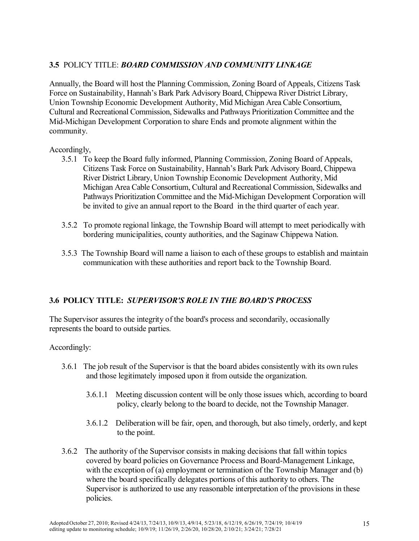## **3.5** POLICY TITLE: *BOARD COMMISSION AND COMMUNITY LINKAGE*

Annually, the Board will host the Planning Commission, Zoning Board of Appeals, Citizens Task Force on Sustainability, Hannah's Bark Park Advisory Board, Chippewa River District Library, Union Township Economic Development Authority, Mid Michigan Area Cable Consortium, Cultural and Recreational Commission, Sidewalks and Pathways Prioritization Committee and the Mid-Michigan Development Corporation to share Ends and promote alignment within the community.

#### Accordingly,

- 3.5.1 To keep the Board fully informed, Planning Commission, Zoning Board of Appeals, Citizens Task Force on Sustainability, Hannah's Bark Park Advisory Board, Chippewa River District Library, Union Township Economic Development Authority, Mid Michigan Area Cable Consortium, Cultural and Recreational Commission, Sidewalks and Pathways Prioritization Committee and the Mid-Michigan Development Corporation will be invited to give an annual report to the Board in the third quarter of each year.
- 3.5.2 To promote regional linkage, the Township Board will attempt to meet periodically with bordering municipalities, county authorities, and the Saginaw Chippewa Nation.
- 3.5.3 The Township Board will name a liaison to each of these groups to establish and maintain communication with these authorities and report back to the Township Board.

## **3.6 POLICY TITLE:** *SUPERVISOR'S ROLE IN THE BOARD'S PROCESS*

The Supervisor assures the integrity of the board's process and secondarily, occasionally represents the board to outside parties.

## Accordingly:

- 3.6.1 The job result of the Supervisor is that the board abides consistently with its own rules and those legitimately imposed upon it from outside the organization.
	- 3.6.1.1 Meeting discussion content will be only those issues which, according to board policy, clearly belong to the board to decide, not the Township Manager.
	- 3.6.1.2 Deliberation will be fair, open, and thorough, but also timely, orderly, and kept to the point.
- 3.6.2 The authority of the Supervisor consists in making decisions that fall within topics covered by board policies on Governance Process and Board-Management Linkage, with the exception of (a) employment or termination of the Township Manager and (b) where the board specifically delegates portions of this authority to others. The Supervisor is authorized to use any reasonable interpretation of the provisions in these policies.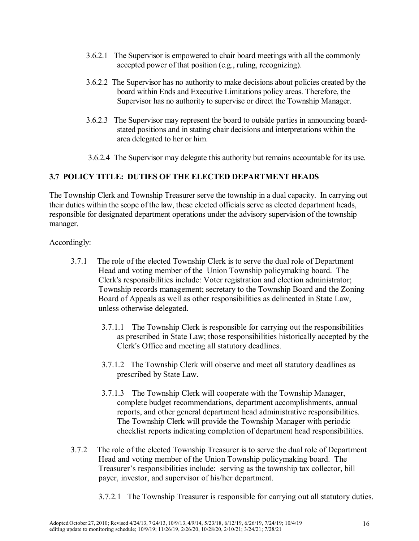- 3.6.2.1 The Supervisor is empowered to chair board meetings with all the commonly accepted power of that position (e.g., ruling, recognizing).
- 3.6.2.2 The Supervisor has no authority to make decisions about policies created by the board within Ends and Executive Limitations policy areas. Therefore, the Supervisor has no authority to supervise or direct the Township Manager.
- 3.6.2.3 The Supervisor may represent the board to outside parties in announcing boardstated positions and in stating chair decisions and interpretations within the area delegated to her or him.
- 3.6.2.4 The Supervisor may delegate this authority but remains accountable for its use.

#### **3.7 POLICY TITLE: DUTIES OF THE ELECTED DEPARTMENT HEADS**

The Township Clerk and Township Treasurer serve the township in a dual capacity. In carrying out their duties within the scope of the law, these elected officials serve as elected department heads, responsible for designated department operations under the advisory supervision of the township manager.

Accordingly:

- 3.7.1 The role of the elected Township Clerk is to serve the dual role of Department Head and voting member of the Union Township policymaking board. The Clerk's responsibilities include: Voter registration and election administrator; Township records management; secretary to the Township Board and the Zoning Board of Appeals as well as other responsibilities as delineated in State Law, unless otherwise delegated.
	- 3.7.1.1 The Township Clerk is responsible for carrying out the responsibilities as prescribed in State Law; those responsibilities historically accepted by the Clerk's Office and meeting all statutory deadlines.
	- 3.7.1.2 The Township Clerk will observe and meet all statutory deadlines as prescribed by State Law.
	- 3.7.1.3 The Township Clerk will cooperate with the Township Manager, complete budget recommendations, department accomplishments, annual reports, and other general department head administrative responsibilities. The Township Clerk will provide the Township Manager with periodic checklist reports indicating completion of department head responsibilities.
- 3.7.2 The role of the elected Township Treasurer is to serve the dual role of Department Head and voting member of the Union Township policymaking board. The Treasurer's responsibilities include: serving as the township tax collector, bill payer, investor, and supervisor of his/her department.
	- 3.7.2.1 The Township Treasurer is responsible for carrying out all statutory duties.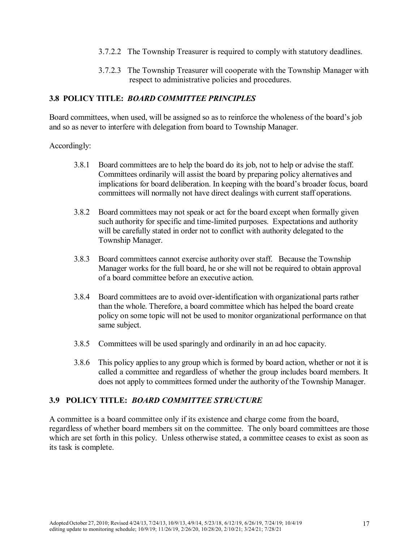- 3.7.2.2 The Township Treasurer is required to comply with statutory deadlines.
- 3.7.2.3 The Township Treasurer will cooperate with the Township Manager with respect to administrative policies and procedures.

#### **3.8 POLICY TITLE:** *BOARD COMMITTEE PRINCIPLES*

Board committees, when used, will be assigned so as to reinforce the wholeness of the board's job and so as never to interfere with delegation from board to Township Manager.

#### Accordingly:

- 3.8.1 Board committees are to help the board do its job, not to help or advise the staff. Committees ordinarily will assist the board by preparing policy alternatives and implications for board deliberation. In keeping with the board's broader focus, board committees will normally not have direct dealings with current staff operations.
- 3.8.2 Board committees may not speak or act for the board except when formally given such authority for specific and time-limited purposes. Expectations and authority will be carefully stated in order not to conflict with authority delegated to the Township Manager.
- 3.8.3 Board committees cannot exercise authority over staff. Because the Township Manager works for the full board, he or she will not be required to obtain approval of a board committee before an executive action.
- 3.8.4 Board committees are to avoid over-identification with organizational parts rather than the whole. Therefore, a board committee which has helped the board create policy on some topic will not be used to monitor organizational performance on that same subject.
- 3.8.5 Committees will be used sparingly and ordinarily in an ad hoc capacity.
- 3.8.6 This policy applies to any group which is formed by board action, whether or not it is called a committee and regardless of whether the group includes board members. It does not apply to committees formed under the authority of the Township Manager.

## **3.9 POLICY TITLE:** *BOARD COMMITTEE STRUCTURE*

A committee is a board committee only if its existence and charge come from the board, regardless of whether board members sit on the committee. The only board committees are those which are set forth in this policy. Unless otherwise stated, a committee ceases to exist as soon as its task is complete.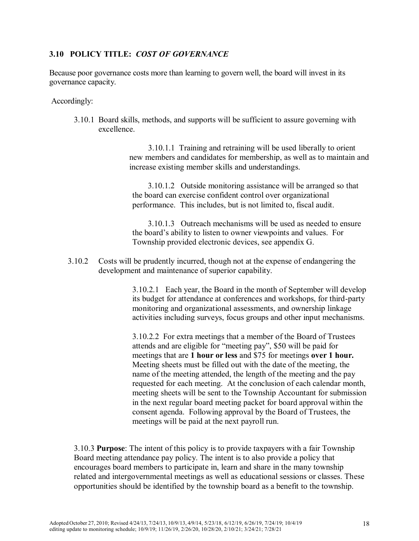#### **3.10 POLICY TITLE:** *COST OF GOVERNANCE*

Because poor governance costs more than learning to govern well, the board will invest in its governance capacity.

#### Accordingly:

3.10.1 Board skills, methods, and supports will be sufficient to assure governing with excellence.

> 3.10.1.1 Training and retraining will be used liberally to orient new members and candidates for membership, as well as to maintain and increase existing member skills and understandings.

3.10.1.2 Outside monitoring assistance will be arranged so that the board can exercise confident control over organizational performance. This includes, but is not limited to, fiscal audit.

3.10.1.3 Outreach mechanisms will be used as needed to ensure the board's ability to listen to owner viewpoints and values. For Township provided electronic devices, see appendix G.

3.10.2 Costs will be prudently incurred, though not at the expense of endangering the development and maintenance of superior capability.

> 3.10.2.1 Each year, the Board in the month of September will develop its budget for attendance at conferences and workshops, for third-party monitoring and organizational assessments, and ownership linkage activities including surveys, focus groups and other input mechanisms.

> 3.10.2.2 For extra meetings that a member of the Board of Trustees attends and are eligible for "meeting pay", \$50 will be paid for meetings that are **1 hour or less** and \$75 for meetings **over 1 hour.**  Meeting sheets must be filled out with the date of the meeting, the name of the meeting attended, the length of the meeting and the pay requested for each meeting. At the conclusion of each calendar month, meeting sheets will be sent to the Township Accountant for submission in the next regular board meeting packet for board approval within the consent agenda. Following approval by the Board of Trustees, the meetings will be paid at the next payroll run.

3.10.3 **Purpose**: The intent of this policy is to provide taxpayers with a fair Township Board meeting attendance pay policy. The intent is to also provide a policy that encourages board members to participate in, learn and share in the many township related and intergovernmental meetings as well as educational sessions or classes. These opportunities should be identified by the township board as a benefit to the township.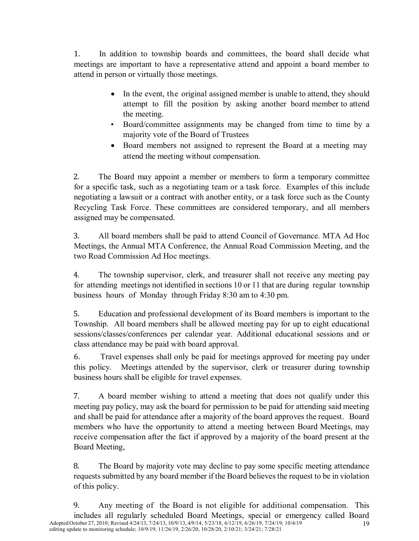1. In addition to township boards and committees, the board shall decide what meetings are important to have a representative attend and appoint a board member to attend in person or virtually those meetings.

- In the event, the original assigned member is unable to attend, they should attempt to fill the position by asking another board member to attend the meeting.
- Board/committee assignments may be changed from time to time by a majority vote of the Board of Trustees
- Board members not assigned to represent the Board at a meeting may attend the meeting without compensation.

2. The Board may appoint a member or members to form a temporary committee for a specific task, such as a negotiating team or a task force. Examples of this include negotiating a lawsuit or a contract with another entity, or a task force such as the County Recycling Task Force. These committees are considered temporary, and all members assigned may be compensated.

3. All board members shall be paid to attend Council of Governance. MTA Ad Hoc Meetings, the Annual MTA Conference, the Annual Road Commission Meeting, and the two Road Commission Ad Hoc meetings.

4. The township supervisor, clerk, and treasurer shall not receive any meeting pay for attending meetings not identified in sections 10 or 11 that are during regular township business hours of Monday through Friday 8:30 am to 4:30 pm.

5. Education and professional development of its Board members is important to the Township. All board members shall be allowed meeting pay for up to eight educational sessions/classes/conferences per calendar year. Additional educational sessions and or class attendance may be paid with board approval.

6. Travel expenses shall only be paid for meetings approved for meeting pay under this policy. Meetings attended by the supervisor, clerk or treasurer during township business hours shall be eligible for travel expenses.

7. A board member wishing to attend a meeting that does not qualify under this meeting pay policy, may ask the board for permission to be paid for attending said meeting and shall be paid for attendance after a majority of the board approves the request. Board members who have the opportunity to attend a meeting between Board Meetings, may receive compensation after the fact if approved by a majority of the board present at the Board Meeting,

8. The Board by majority vote may decline to pay some specific meeting attendance requests submitted by any board member if the Board believes the request to be in violation of this policy.

Adopted October 27, 2010; Revised 4/24/13, 7/24/13, 10/9/13, 4/9/14, 5/23/18, 6/12/19, 6/26/19, 7/24/19; 10/4/19 19 editing update to monitoring schedule; 10/9/19; 11/26/19, 2/26/20, 10/28/20, 2/10/21; 3/24/21; 7/28/21 9. Any meeting of the Board is not eligible for additional compensation. This includes all regularly scheduled Board Meetings, special or emergency called Board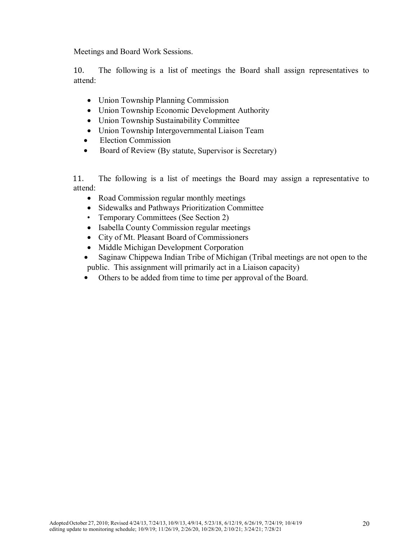Meetings and Board Work Sessions.

10. The following is a list of meetings the Board shall assign representatives to attend:

- Union Township Planning Commission
- Union Township Economic Development Authority
- Union Township Sustainability Committee
- Union Township Intergovernmental Liaison Team
- Election Commission
- Board of Review (By statute, Supervisor is Secretary)

11. The following is a list of meetings the Board may assign a representative to attend:

- Road Commission regular monthly meetings
- Sidewalks and Pathways Prioritization Committee
- Temporary Committees (See Section 2)
- Isabella County Commission regular meetings
- City of Mt. Pleasant Board of Commissioners
- Middle Michigan Development Corporation
- Saginaw Chippewa Indian Tribe of Michigan (Tribal meetings are not open to the public. This assignment will primarily act in a Liaison capacity)
- Others to be added from time to time per approval of the Board.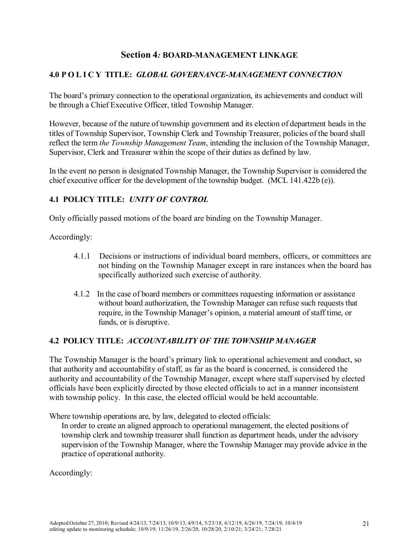# **Section 4***:* **BOARD-MANAGEMENT LINKAGE**

# **4.0 POLICY TITLE:** *GLOBAL GOVERNANCE-MANAGEMENT CONNECTION*

The board's primary connection to the operational organization, its achievements and conduct will be through a Chief Executive Officer, titled Township Manager.

However, because of the nature of township government and its election of department heads in the titles of Township Supervisor, Township Clerk and Township Treasurer, policies of the board shall reflect the term *the Township Management Team*, intending the inclusion of the Township Manager, Supervisor, Clerk and Treasurer within the scope of their duties as defined by law.

In the event no person is designated Township Manager, the Township Supervisor is considered the chief executive officer for the development of the township budget. (MCL 141.422b (e)).

# **4.1 POLICY TITLE:** *UNITY OF CONTROL*

Only officially passed motions of the board are binding on the Township Manager.

#### Accordingly:

- 4.1.1 Decisions or instructions of individual board members, officers, or committees are not binding on the Township Manager except in rare instances when the board has specifically authorized such exercise of authority.
- 4.1.2 In the case of board members or committees requesting information or assistance without board authorization, the Township Manager can refuse such requests that require, in the Township Manager's opinion, a material amount of staff time, or funds, or is disruptive.

#### **4.2 POLICY TITLE:** *ACCOUNTABILITY OF THE TOWNSHIP MANAGER*

The Township Manager is the board's primary link to operational achievement and conduct, so that authority and accountability of staff, as far as the board is concerned, is considered the authority and accountability of the Township Manager, except where staff supervised by elected officials have been explicitly directed by those elected officials to act in a manner inconsistent with township policy. In this case, the elected official would be held accountable.

Where township operations are, by law, delegated to elected officials:

In order to create an aligned approach to operational management, the elected positions of township clerk and township treasurer shall function as department heads, under the advisory supervision of the Township Manager, where the Township Manager may provide advice in the practice of operational authority.

Accordingly: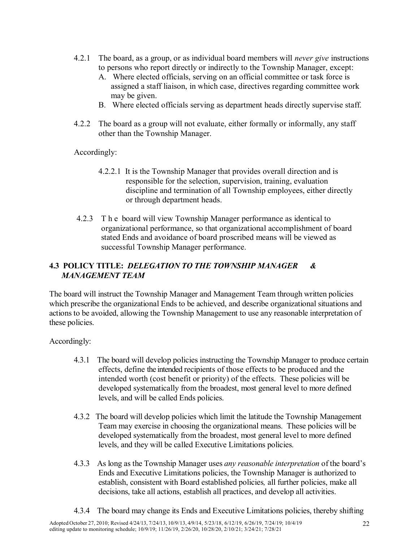- 4.2.1 The board, as a group, or as individual board members will *never give* instructions to persons who report directly or indirectly to the Township Manager, except:
	- A. Where elected officials, serving on an official committee or task force is assigned a staff liaison, in which case, directives regarding committee work may be given.
	- B. Where elected officials serving as department heads directly supervise staff.
- 4.2.2 The board as a group will not evaluate, either formally or informally, any staff other than the Township Manager.

Accordingly:

- 4.2.2.1 It is the Township Manager that provides overall direction and is responsible for the selection, supervision, training, evaluation discipline and termination of all Township employees, either directly or through department heads.
- 4.2.3 The board will view Township Manager performance as identical to organizational performance, so that organizational accomplishment of board stated Ends and avoidance of board proscribed means will be viewed as successful Township Manager performance.

# **4.3 POLICY TITLE:** *DELEGATION TO THE TOWNSHIP MANAGER & MANAGEMENT TEAM*

The board will instruct the Township Manager and Management Team through written policies which prescribe the organizational Ends to be achieved, and describe organizational situations and actions to be avoided, allowing the Township Management to use any reasonable interpretation of these policies.

Accordingly:

- 4.3.1 The board will develop policies instructing the Township Manager to produce certain effects, define the intended recipients of those effects to be produced and the intended worth (cost benefit or priority) of the effects. These policies will be developed systematically from the broadest, most general level to more defined levels, and will be called Ends policies.
- 4.3.2 The board will develop policies which limit the latitude the Township Management Team may exercise in choosing the organizational means. These policies will be developed systematically from the broadest, most general level to more defined levels, and they will be called Executive Limitations policies.
- 4.3.3 As long as the Township Manager uses *any reasonable interpretation* of the board's Ends and Executive Limitations policies, the Township Manager is authorized to establish, consistent with Board established policies*,* all further policies, make all decisions, take all actions, establish all practices, and develop all activities.
- 4.3.4 The board may change its Ends and Executive Limitations policies, thereby shifting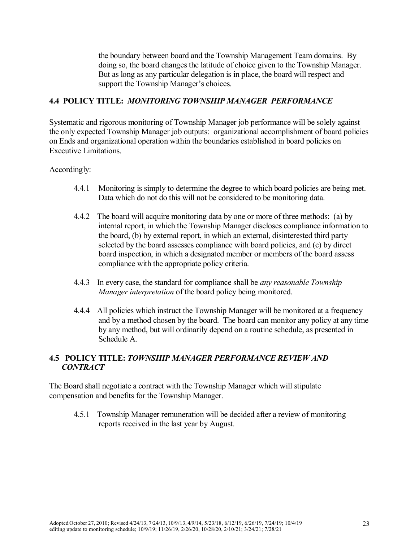the boundary between board and the Township Management Team domains. By doing so, the board changes the latitude of choice given to the Township Manager. But as long as any particular delegation is in place, the board will respect and support the Township Manager's choices.

#### **4.4 POLICY TITLE:** *MONITORING TOWNSHIP MANAGER PERFORMANCE*

Systematic and rigorous monitoring of Township Manager job performance will be solely against the only expected Township Manager job outputs: organizational accomplishment of board policies on Ends and organizational operation within the boundaries established in board policies on Executive Limitations.

#### Accordingly:

- 4.4.1 Monitoring is simply to determine the degree to which board policies are being met. Data which do not do this will not be considered to be monitoring data.
- 4.4.2 The board will acquire monitoring data by one or more of three methods: (a) by internal report, in which the Township Manager discloses compliance information to the board, (b) by external report, in which an external, disinterested third party selected by the board assesses compliance with board policies, and (c) by direct board inspection, in which a designated member or members of the board assess compliance with the appropriate policy criteria.
- 4.4.3 In every case, the standard for compliance shall be *any reasonable Township Manager interpretation* of the board policy being monitored.
- 4.4.4 All policies which instruct the Township Manager will be monitored at a frequency and by a method chosen by the board. The board can monitor any policy at any time by any method, but will ordinarily depend on a routine schedule, as presented in Schedule A.

#### **4.5 POLICY TITLE:** *TOWNSHIP MANAGER PERFORMANCE REVIEW AND CONTRACT*

The Board shall negotiate a contract with the Township Manager which will stipulate compensation and benefits for the Township Manager.

4.5.1 Township Manager remuneration will be decided after a review of monitoring reports received in the last year by August.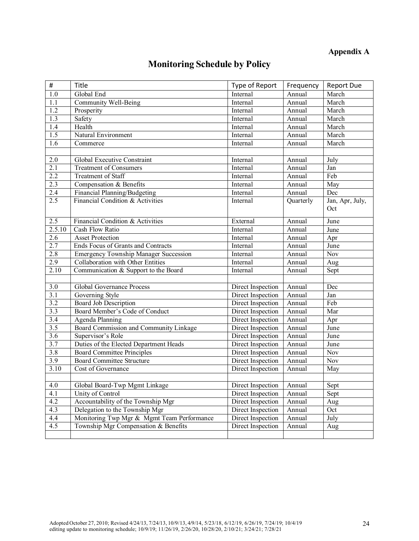# **Appendix A**

# **Monitoring Schedule by Policy**

| $\#$             | Title                                        | Type of Report             | Frequency | <b>Report Due</b>  |
|------------------|----------------------------------------------|----------------------------|-----------|--------------------|
| $\overline{1.0}$ | Global End                                   | Internal                   | Annual    | March              |
| $\overline{1.1}$ | <b>Community Well-Being</b>                  | Internal                   | Annual    | March              |
| 1.2              | Prosperity                                   | Internal                   | Annual    | March              |
| 1.3              | Safety                                       | Internal                   | Annual    | March              |
| $\overline{1.4}$ | Health                                       | Internal                   | Annual    | March              |
| $\overline{1.5}$ | Natural Environment                          | Internal                   | Annual    | March              |
| $\overline{1.6}$ | Commerce                                     | Internal                   | Annual    | March              |
|                  |                                              |                            |           |                    |
| 2.0              | Global Executive Constraint                  | Internal                   | Annual    | July               |
| 2.1              | <b>Treatment of Consumers</b>                | Internal                   | Annual    | Jan                |
| 2.2              | <b>Treatment of Staff</b>                    | Internal                   | Annual    | Feb                |
| 2.3              | Compensation & Benefits                      | Internal                   | Annual    | May                |
| 2.4              | Financial Planning/Budgeting                 | Internal                   | Annual    | Dec                |
| 2.5              | Financial Condition & Activities             | Internal                   | Quarterly | Jan, Apr, July,    |
|                  |                                              |                            |           | Oct                |
| 2.5              | Financial Condition & Activities             | External                   | Annual    | $\overline{J}$ une |
| 2.5.10           | <b>Cash Flow Ratio</b>                       | Internal                   | Annual    | June               |
| 2.6              | <b>Asset Protection</b>                      | Internal                   | Annual    | Apr                |
| 2.7              | Ends Focus of Grants and Contracts           | Internal                   | Annual    | June               |
| 2.8              | <b>Emergency Township Manager Succession</b> | Internal                   | Annual    | <b>Nov</b>         |
| 2.9              | Collaboration with Other Entities            | Internal                   | Annual    | Aug                |
| 2.10             | Communication & Support to the Board         | Internal                   | Annual    | Sept               |
|                  |                                              |                            |           |                    |
| 3.0              | Global Governance Process                    | Direct Inspection          | Annual    | Dec                |
| $\overline{3.1}$ | Governing Style                              | Direct Inspection          | Annual    | Jan                |
| 3.2              | <b>Board Job Description</b>                 | Direct Inspection          | Annual    | Feb                |
| 3.3              | Board Member's Code of Conduct               | Direct Inspection          | Annual    | Mar                |
| $\overline{3.4}$ | Agenda Planning                              | Direct Inspection          | Annual    | Apr                |
| 3.5              | Board Commission and Community Linkage       | Direct Inspection          | Annual    | June               |
| $\overline{3.6}$ | Supervisor's Role                            | Direct Inspection          | Annual    | June               |
| 3.7              | Duties of the Elected Department Heads       | Direct Inspection          | Annual    | June               |
| $\overline{3.8}$ | <b>Board Committee Principles</b>            | Direct Inspection          | Annual    | <b>Nov</b>         |
| 3.9              | <b>Board Committee Structure</b>             | Direct Inspection          | Annual    | Nov                |
| 3.10             | Cost of Governance                           | Direct Inspection          | Annual    | May                |
|                  |                                              |                            |           |                    |
| 4.0              | Global Board-Twp Mgmt Linkage                | Direct Inspection   Annual |           | Sept               |
| 4.1              | Unity of Control                             | Direct Inspection          | Annual    | Sept               |
| 4.2              | Accountability of the Township Mgr           | Direct Inspection          | Annual    | Aug                |
| 4.3              | Delegation to the Township Mgr               | Direct Inspection          | Annual    | Oct                |
| 4.4              | Monitoring Twp Mgr & Mgmt Team Performance   | Direct Inspection          | Annual    | July               |
| 4.5              | Township Mgr Compensation & Benefits         | Direct Inspection          | Annual    | Aug                |
|                  |                                              |                            |           |                    |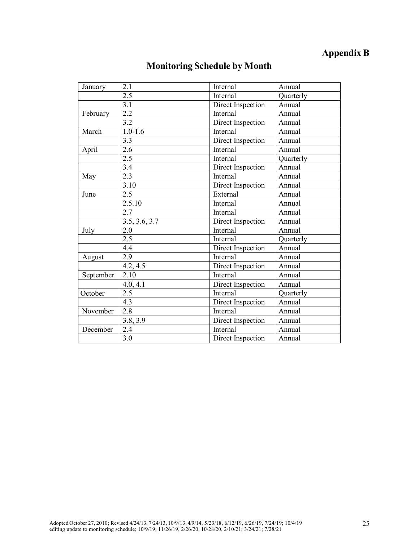# **Appendix B**

| January   | 2.1           | Internal          | Annual    |
|-----------|---------------|-------------------|-----------|
|           | 2.5           | Internal          | Quarterly |
|           | 3.1           | Direct Inspection | Annual    |
| February  | 2.2           | Internal          | Annual    |
|           | 3.2           | Direct Inspection | Annual    |
| March     | $1.0 - 1.6$   | <b>Internal</b>   | Annual    |
|           | 3.3           | Direct Inspection | Annual    |
| April     | 2.6           | Internal          | Annual    |
|           | 2.5           | Internal          | Quarterly |
|           | 3.4           | Direct Inspection | Annual    |
| May       | 2.3           | Internal          | Annual    |
|           | 3.10          | Direct Inspection | Annual    |
| June      | 2.5           | External          | Annual    |
|           | 2.5.10        | Internal          | Annual    |
|           | 2.7           | Internal          | Annual    |
|           | 3.5, 3.6, 3.7 | Direct Inspection | Annual    |
| July      | 2.0           | Internal          | Annual    |
|           | 2.5           | Internal          | Quarterly |
|           | 4.4           | Direct Inspection | Annual    |
| August    | 2.9           | Internal          | Annual    |
|           | 4.2, 4.5      | Direct Inspection | Annual    |
| September | 2.10          | Internal          | Annual    |
|           | 4.0, 4.1      | Direct Inspection | Annual    |
| October   | 2.5           | Internal          | Quarterly |
|           | 4.3           | Direct Inspection | Annual    |
| November  | 2.8           | Internal          | Annual    |
|           | 3.8, 3.9      | Direct Inspection | Annual    |
| December  | 2.4           | Internal          | Annual    |
|           | 3.0           | Direct Inspection | Annual    |

# **Monitoring Schedule by Month**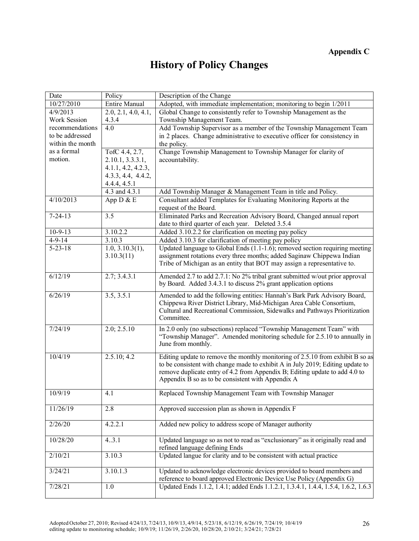# **History of Policy Changes**

| Date             | Policy                       | Description of the Change                                                                                                                                   |
|------------------|------------------------------|-------------------------------------------------------------------------------------------------------------------------------------------------------------|
| 10/27/2010       | <b>Entire Manual</b>         | Adopted, with immediate implementation; monitoring to begin 1/2011                                                                                          |
| 4/9/2013         | 2.0, 2.1, 4.0, 4.1,          | Global Change to consistently refer to Township Management as the                                                                                           |
| Work Session     | 4.3.4                        | Township Management Team.                                                                                                                                   |
| recommendations  | 4.0                          | Add Township Supervisor as a member of the Township Management Team                                                                                         |
| to be addressed  |                              | in 2 places. Change administrative to executive officer for consistency in                                                                                  |
| within the month |                              | the policy.                                                                                                                                                 |
| as a formal      | TofC 4.4, 2.7,               | Change Township Management to Township Manager for clarity of                                                                                               |
| motion.          | 2.10.1, 3.3.3.1,             | accountability.                                                                                                                                             |
|                  | 4.1.1, 4.2, 4.2.3,           |                                                                                                                                                             |
|                  | 4.3.3, 4.4, 4.4.2,           |                                                                                                                                                             |
|                  | 4.4.4, 4.5.1                 |                                                                                                                                                             |
| 4/10/2013        | 4.3 and 4.3.1<br>App $D & E$ | Add Township Manager & Management Team in title and Policy.<br>Consultant added Templates for Evaluating Monitoring Reports at the                          |
|                  |                              | request of the Board.                                                                                                                                       |
| $7 - 24 - 13$    | $\overline{3.5}$             | Eliminated Parks and Recreation Advisory Board, Changed annual report                                                                                       |
|                  |                              | date to third quarter of each year. Deleted 3.5.4                                                                                                           |
| $10-9-13$        | 3.10.2.2                     | Added 3.10.2.2 for clarification on meeting pay policy                                                                                                      |
| $4-9-14$         | 3.10.3                       | Added 3.10.3 for clarification of meeting pay policy                                                                                                        |
| $5 - 23 - 18$    | 1.0, 3.10.3(1),              | Updated language to Global Ends (1.1-1.6); removed section requiring meeting                                                                                |
|                  | 3.10.3(11)                   | assignment rotations every three months; added Saginaw Chippewa Indian                                                                                      |
|                  |                              | Tribe of Michigan as an entity that BOT may assign a representative to.                                                                                     |
| 6/12/19          | 2.7; 3.4.3.1                 | Amended 2.7 to add 2.7.1: No 2% tribal grant submitted w/out prior approval                                                                                 |
|                  |                              | by Board. Added 3.4.3.1 to discuss 2% grant application options                                                                                             |
| 6/26/19          | 3.5, 3.5.1                   | Amended to add the following entities: Hannah's Bark Park Advisory Board,                                                                                   |
|                  |                              | Chippewa River District Library, Mid-Michigan Area Cable Consortium,                                                                                        |
|                  |                              | Cultural and Recreational Commission, Sidewalks and Pathways Prioritization                                                                                 |
|                  |                              | Committee.                                                                                                                                                  |
| 7/24/19          | 2.0; 2.5.10                  | In 2.0 only (no subsections) replaced "Township Management Team" with                                                                                       |
|                  |                              | "Township Manager". Amended monitoring schedule for 2.5.10 to annually in                                                                                   |
|                  |                              | June from monthly.                                                                                                                                          |
| 10/4/19          | 2.5.10; 4.2                  | Editing update to remove the monthly monitoring of 2.5.10 from exhibit B so as                                                                              |
|                  |                              | to be consistent with change made to exhibit A in July 2019; Editing update to                                                                              |
|                  |                              | remove duplicate entry of 4.2 from Appendix B; Editing update to add 4.0 to                                                                                 |
|                  |                              | Appendix B so as to be consistent with Appendix A                                                                                                           |
| 10/9/19          |                              |                                                                                                                                                             |
|                  | 4.1                          | Replaced Township Management Team with Township Manager                                                                                                     |
| 11/26/19         | 2.8                          | Approved succession plan as shown in Appendix F                                                                                                             |
|                  |                              |                                                                                                                                                             |
| 2/26/20          | 4.2.2.1                      | Added new policy to address scope of Manager authority                                                                                                      |
|                  |                              |                                                                                                                                                             |
| 10/28/20         | 43.1                         | Updated language so as not to read as "exclusionary" as it originally read and                                                                              |
|                  |                              | refined language defining Ends                                                                                                                              |
| 2/10/21          | 3.10.3                       | Updated langue for clarity and to be consistent with actual practice                                                                                        |
|                  |                              |                                                                                                                                                             |
| 3/24/21          | 3.10.1.3                     | Updated to acknowledge electronic devices provided to board members and                                                                                     |
| 7/28/21          | 1.0                          | reference to board approved Electronic Device Use Policy (Appendix G)<br>Updated Ends 1.1.2, 1.4.1; added Ends 1.1.2.1, 1.3.4.1, 1.4.4, 1.5.4, 1.6.2, 1.6.3 |
|                  |                              |                                                                                                                                                             |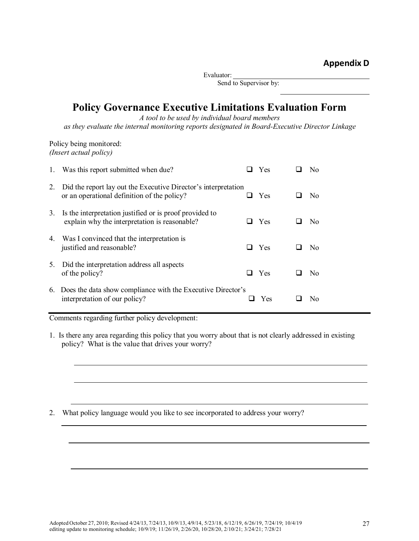Evaluator:

Send to Supervisor by:

# **Policy Governance Executive Limitations Evaluation Form**

*A tool to be used by individual board members*

*as they evaluate the internal monitoring reports designated in Board-Executive Director Linkage*

Policy being monitored: *(Insert actual policy)*

| 1. | Was this report submitted when due?                                                                           |     | <b>Yes</b> | N <sub>0</sub> |
|----|---------------------------------------------------------------------------------------------------------------|-----|------------|----------------|
| 2. | Did the report lay out the Executive Director's interpretation<br>or an operational definition of the policy? |     | Yes        | N <sub>0</sub> |
| 3. | Is the interpretation justified or is proof provided to<br>explain why the interpretation is reasonable?      |     | Yes        | No             |
| 4. | Was I convinced that the interpretation is<br>justified and reasonable?                                       | l 1 | Yes        | No             |
| 5. | Did the interpretation address all aspects<br>of the policy?                                                  |     | Yes        | N <sub>0</sub> |
|    | 6. Does the data show compliance with the Executive Director's<br>interpretation of our policy?               |     | Yes        | No             |

Comments regarding further policy development:

1. Is there any area regarding this policy that you worry about that is not clearly addressed in existing policy? What is the value that drives your worry?

2. What policy language would you like to see incorporated to address your worry?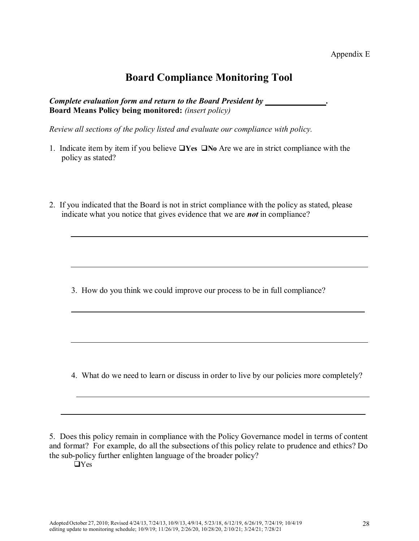# **Board Compliance Monitoring Tool**

*Complete evaluation form and return to the Board President by .* **Board Means Policy being monitored:** *(insert policy)*

*Review all sections of the policy listed and evaluate our compliance with policy.*

- 1. Indicate item by item if you believe  $\Box$  Yes  $\Box$  No Are we are in strict compliance with the policy as stated?
- 2. If you indicated that the Board is not in strict compliance with the policy as stated, please indicate what you notice that gives evidence that we are *not* in compliance?

3. How do you think we could improve our process to be in full compliance?

4. What do we need to learn or discuss in order to live by our policies more completely?

5. Does this policy remain in compliance with the Policy Governance model in terms of content and format? For example, do all the subsections of this policy relate to prudence and ethics? Do the sub-policy further enlighten language of the broader policy?

 $\Box$ Yes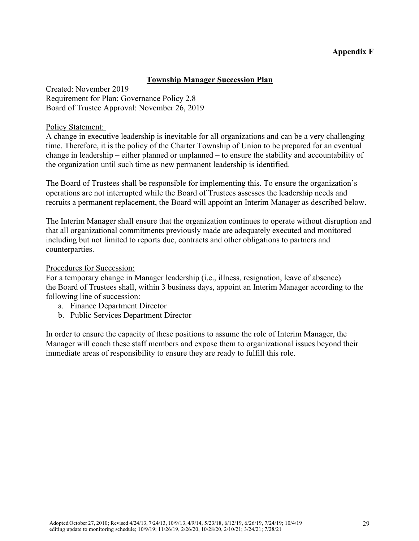## **Appendix F**

#### **Township Manager Succession Plan**

Created: November 2019 Requirement for Plan: Governance Policy 2.8 Board of Trustee Approval: November 26, 2019

#### Policy Statement:

A change in executive leadership is inevitable for all organizations and can be a very challenging time. Therefore, it is the policy of the Charter Township of Union to be prepared for an eventual change in leadership – either planned or unplanned – to ensure the stability and accountability of the organization until such time as new permanent leadership is identified.

The Board of Trustees shall be responsible for implementing this. To ensure the organization's operations are not interrupted while the Board of Trustees assesses the leadership needs and recruits a permanent replacement, the Board will appoint an Interim Manager as described below.

The Interim Manager shall ensure that the organization continues to operate without disruption and that all organizational commitments previously made are adequately executed and monitored including but not limited to reports due, contracts and other obligations to partners and counterparties.

#### Procedures for Succession:

For a temporary change in Manager leadership (i.e., illness, resignation, leave of absence) the Board of Trustees shall, within 3 business days, appoint an Interim Manager according to the following line of succession:

- a. Finance Department Director
- b. Public Services Department Director

In order to ensure the capacity of these positions to assume the role of Interim Manager, the Manager will coach these staff members and expose them to organizational issues beyond their immediate areas of responsibility to ensure they are ready to fulfill this role.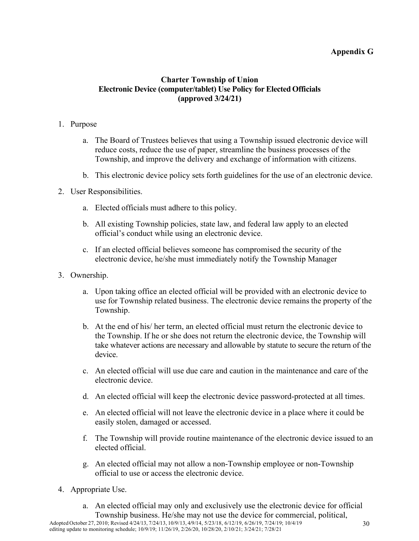# **Appendix G**

# **Charter Township of Union Electronic Device (computer/tablet)** Use Policy for Elected Officials **(approved 3/24/21)**

#### 1. Purpose

- a. The Board of Trustees believes that using a Township issued electronic device will reduce costs, reduce the use of paper, streamline the business processes of the Township, and improve the delivery and exchange of information with citizens.
- b. This electronic device policy sets forth guidelines for the use of an electronic device.
- 2. User Responsibilities.
	- a. Elected officials must adhere to this policy.
	- b. All existing Township policies, state law, and federal law apply to an elected official's conduct while using an electronic device.
	- c. If an elected official believes someone has compromised the security of the electronic device, he/she must immediately notify the Township Manager
- 3. Ownership.
	- a. Upon taking office an elected official will be provided with an electronic device to use for Township related business. The electronic device remains the property of the Township.
	- b. At the end of his/ her term, an elected official must return the electronic device to the Township. If he or she does not return the electronic device, the Township will take whatever actions are necessary and allowable by statute to secure the return of the device.
	- c. An elected official will use due care and caution in the maintenance and care of the electronic device.
	- d. An elected official will keep the electronic device password-protected at all times.
	- e. An elected official will not leave the electronic device in a place where it could be easily stolen, damaged or accessed.
	- f. The Township will provide routine maintenance of the electronic device issued to an elected official.
	- g. An elected official may not allow a non-Township employee or non-Township official to use or access the electronic device.
- 4. Appropriate Use.
	- a. An elected official may only and exclusively use the electronic device for official Township business. He/she may not use the device for commercial, political,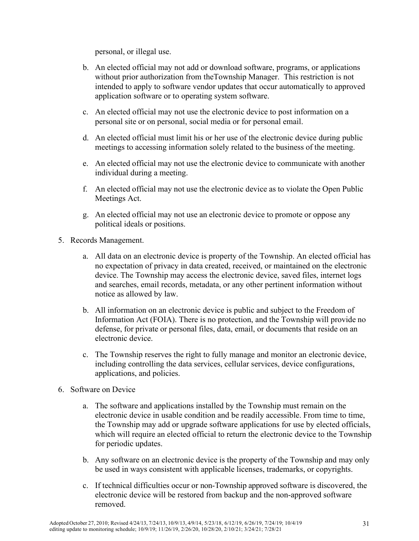personal, or illegal use.

- b. An elected official may not add or download software, programs, or applications without prior authorization from theTownship Manager. This restriction is not intended to apply to software vendor updates that occur automatically to approved application software or to operating system software.
- c. An elected official may not use the electronic device to post information on a personal site or on personal, social media or for personal email.
- d. An elected official must limit his or her use of the electronic device during public meetings to accessing information solely related to the business of the meeting.
- e. An elected official may not use the electronic device to communicate with another individual during a meeting.
- f. An elected official may not use the electronic device as to violate the Open Public Meetings Act.
- g. An elected official may not use an electronic device to promote or oppose any political ideals or positions.
- 5. Records Management.
	- a. All data on an electronic device is property of the Township. An elected official has no expectation of privacy in data created, received, or maintained on the electronic device. The Township may access the electronic device, saved files, internet logs and searches, email records, metadata, or any other pertinent information without notice as allowed by law.
	- b. All information on an electronic device is public and subject to the Freedom of Information Act (FOIA). There is no protection, and the Township will provide no defense, for private or personal files, data, email, or documents that reside on an electronic device.
	- c. The Township reserves the right to fully manage and monitor an electronic device, including controlling the data services, cellular services, device configurations, applications, and policies.
- 6. Software on Device
	- a. The software and applications installed by the Township must remain on the electronic device in usable condition and be readily accessible. From time to time, the Township may add or upgrade software applications for use by elected officials, which will require an elected official to return the electronic device to the Township for periodic updates.
	- b. Any software on an electronic device is the property of the Township and may only be used in ways consistent with applicable licenses, trademarks, or copyrights.
	- c. If technical difficulties occur or non-Township approved software is discovered, the electronic device will be restored from backup and the non-approved software removed.